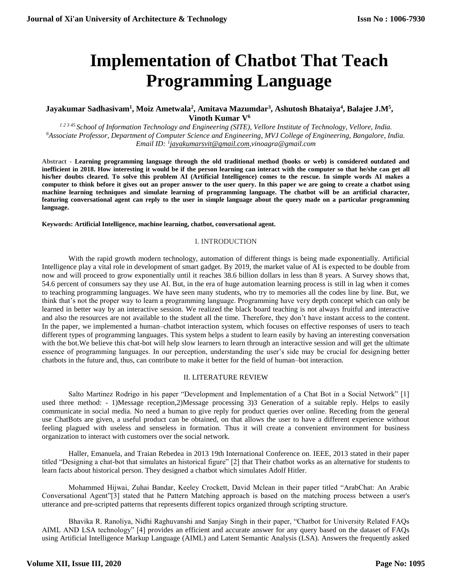# **Implementation of Chatbot That Teach Programming Language**

# **Jayakumar Sadhasivam<sup>1</sup> , Moiz Ametwala<sup>2</sup> , Amitava Mazumdar<sup>3</sup> , Ashutosh Bhataiya<sup>4</sup> , Balajee J.M<sup>5</sup> , Vinoth Kumar V<sup>6</sup>**

*1 2 3 45 School of Information Technology and Engineering (SITE), Vellore Institute of Technology, Vellore, India. <sup>6</sup>Associate Professor, Department of Computer Science and Engineering, MVJ College of Engineering, Bangalore, India. Email ID: <sup>1</sup> [jayakumarsvit@gmail.com,](mailto:jayakumarsvit@gmail.com)vinoagra@gmail.com*

**Abstract - Learning programming language through the old traditional method (books or web) is considered outdated and inefficient in 2018. How interesting it would be if the person learning can interact with the computer so that he/she can get all his/her doubts cleared. To solve this problem AI (Artificial Intelligence) comes to the rescue. In simple words AI makes a computer to think before it gives out an proper answer to the user query. In this paper we are going to create a chatbot using machine learning techniques and simulate learning of programming language. The chatbot will be an artificial character, featuring conversational agent can reply to the user in simple language about the query made on a particular programming language.**

**Keywords: Artificial Intelligence, machine learning, chatbot, conversational agent.**

### I. INTRODUCTION

With the rapid growth modern technology, automation of different things is being made exponentially. Artificial Intelligence play a vital role in development of smart gadget. By 2019, the market value of AI is expected to be double from now and will proceed to grow exponentially until it reaches 38.6 billion dollars in less than 8 years. A Survey shows that, 54.6 percent of consumers say they use AI. But, in the era of huge automation learning process is still in lag when it comes to teaching programming languages*.* We have seen many students, who try to memories all the codes line by line. But, we think that's not the proper way to learn a programming language. Programming have very depth concept which can only be learned in better way by an interactive session. We realized the black board teaching is not always fruitful and interactive and also the resources are not available to the student all the time. Therefore, they don't have instant access to the content. In the paper, we implemented a human–chatbot interaction system, which focuses on effective responses of users to teach different types of programming languages. This system helps a student to learn easily by having an interesting conversation with the bot.We believe this chat-bot will help slow learners to learn through an interactive session and will get the ultimate essence of programming languages. In our perception, understanding the user's side may be crucial for designing better chatbots in the future and, thus, can contribute to make it better for the field of human–bot interaction.

## II. LITERATURE REVIEW

Salto Martinez Rodrigo in his paper "Development and Implementation of a Chat Bot in a Social Network" [1] used three method: - 1)Message reception,2)Message processing 3)3 Generation of a suitable reply. Helps to easily communicate in social media. No need a human to give reply for product queries over online. Receding from the general use ChatBots are given, a useful product can be obtained, on that allows the user to have a different experience without feeling plagued with useless and senseless in formation. Thus it will create a convenient environment for business organization to interact with customers over the social network.

Haller, Emanuela, and Traian Rebedea in 2013 19th International Conference on. IEEE, 2013 stated in their paper titled "Designing a chat-bot that simulates an historical figure" [2] that Their chatbot works as an alternative for students to learn facts about historical person. They designed a chatbot which simulates Adolf Hitler.

Mohammed Hijwai, Zuhai Bandar, Keeley Crockett, David Mclean in their paper titled "ArabChat: An Arabic Conversational Agent"[3] stated that he Pattern Matching approach is based on the matching process between a user's utterance and pre-scripted patterns that represents different topics organized through scripting structure.

Bhavika R. Ranoliya, Nidhi Raghuvanshi and Sanjay Singh in their paper, "Chatbot for University Related FAQs AIML AND LSA technology" [4] provides an efficient and accurate answer for any query based on the dataset of FAQs using Artificial Intelligence Markup Language (AIML) and Latent Semantic Analysis (LSA). Answers the frequently asked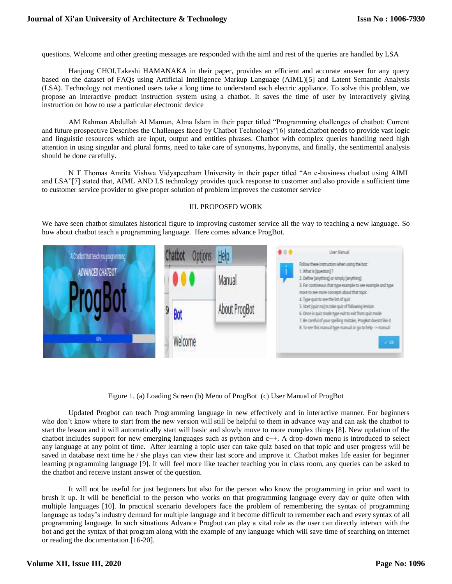questions. Welcome and other greeting messages are responded with the aiml and rest of the queries are handled by LSA

Hanjong CHOI,Takeshi HAMANAKA in their paper, provides an efficient and accurate answer for any query based on the dataset of FAQs using Artificial Intelligence Markup Language (AIML)[5] and Latent Semantic Analysis (LSA). Technology not mentioned users take a long time to understand each electric appliance. To solve this problem, we propose an interactive product instruction system using a chatbot. It saves the time of user by interactively giving instruction on how to use a particular electronic device

AM Rahman Abdullah Al Mamun, Alma Islam in their paper titled "Programming challenges of chatbot: Current and future prospective Describes the Challenges faced by Chatbot Technology"[6] stated,chatbot needs to provide vast logic and linguistic resources which are input, output and entities phrases. Chatbot with complex queries handling need high attention in using singular and plural forms, need to take care of synonyms, hyponyms, and finally, the sentimental analysis should be done carefully.

N T Thomas Amrita Vishwa Vidyapeetham University in their paper titled "An e-business chatbot using AIML and LSA"[7] stated that, AIML AND LS technology provides quick response to customer and also provide a sufficient time to customer service provider to give proper solution of problem improves the customer service

## III. PROPOSED WORK

We have seen chatbot simulates historical figure to improving customer service all the way to teaching a new language. So how about chatbot teach a programming language. Here comes advance ProgBot.



Figure 1. (a) Loading Screen (b) Menu of ProgBot (c) User Manual of ProgBot

Updated Progbot can teach Programming language in new effectively and in interactive manner. For beginners who don't know where to start from the new version will still be helpful to them in advance way and can ask the chatbot to start the lesson and it will automatically start will basic and slowly move to more complex things [8]. New updation of the chatbot includes support for new emerging languages such as python and c++. A drop-down menu is introduced to select any language at any point of time. After learning a topic user can take quiz based on that topic and user progress will be saved in database next time he / she plays can view their last score and improve it. Chatbot makes life easier for beginner learning programming language [9]. It will feel more like teacher teaching you in class room, any queries can be asked to the chatbot and receive instant answer of the question.

It will not be useful for just beginners but also for the person who know the programming in prior and want to brush it up. It will be beneficial to the person who works on that programming language every day or quite often with multiple languages [10]. In practical scenario developers face the problem of remembering the syntax of programming language as today's industry demand for multiple language and it become difficult to remember each and every syntax of all programming language. In such situations Advance Progbot can play a vital role as the user can directly interact with the bot and get the syntax of that program along with the example of any language which will save time of searching on internet or reading the documentation [16-20].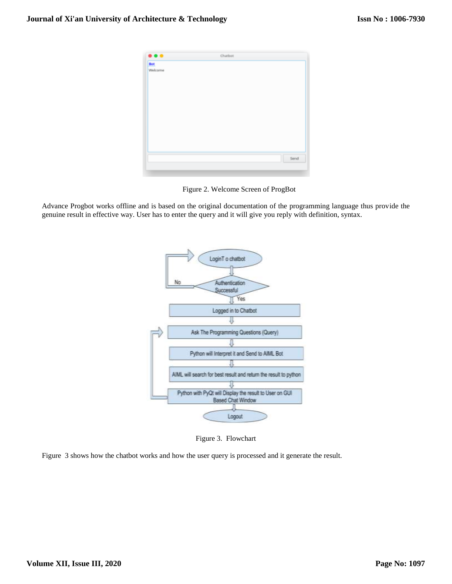

Figure 2. Welcome Screen of ProgBot

Advance Progbot works offline and is based on the original documentation of the programming language thus provide the genuine result in effective way. User has to enter the query and it will give you reply with definition, syntax.



Figure 3. Flowchart

Figure 3 shows how the chatbot works and how the user query is processed and it generate the result.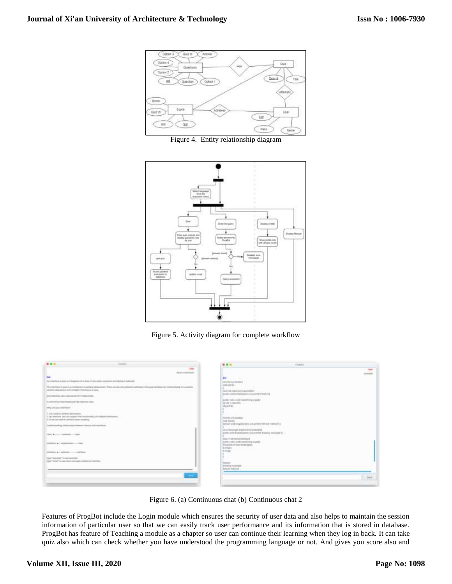

Figure 4. Entity relationship diagram



Figure 5. Activity diagram for complete workflow



Figure 6. (a) Continuous chat (b) Continuous chat 2

Features of ProgBot include the Login module which ensures the security of user data and also helps to maintain the session information of particular user so that we can easily track user performance and its information that is stored in database. ProgBot has feature of Teaching a module as a chapter so user can continue their learning when they log in back. It can take quiz also which can check whether you have understood the programming language or not. And gives you score also and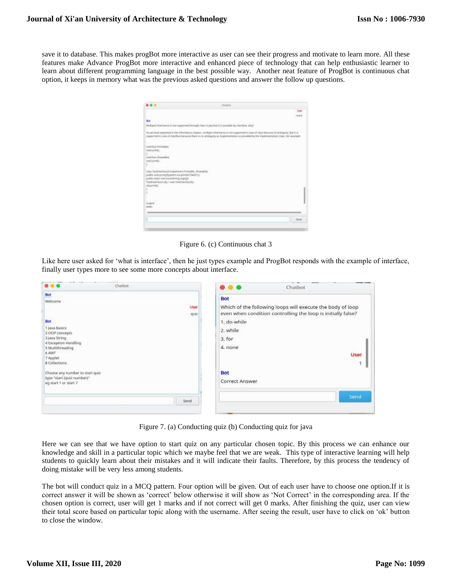save it to database. This makes progBot more interactive as user can see their progress and motivate to learn more. All these features make Advance ProgBot more interactive and enhanced piece of technology that can help enthusiastic learner to learn about different programming language in the best possible way. Another neat feature of ProgBot is continuous chat option, it keeps in memory what was the previous asked questions and answer the follow up questions.

| Bob <sup>1</sup>                                                                                                                                                                                      |                                                                                                                                                                                                                                                                                                                                                                          |
|-------------------------------------------------------------------------------------------------------------------------------------------------------------------------------------------------------|--------------------------------------------------------------------------------------------------------------------------------------------------------------------------------------------------------------------------------------------------------------------------------------------------------------------------------------------------------------------------|
|                                                                                                                                                                                                       | Multiple information is not supported through class in just but it is provided by it include, only if                                                                                                                                                                                                                                                                    |
| <b>TRANSPORT COMPANY</b>                                                                                                                                                                              | The land Traced Templa Perfect Different Detector of the print of the Register of the Company of the United States and Chief and Detector of Company Perfect of the States and Company Perfect of Company Perfect of Company P<br>supported to case of interface because there is no aronapoly at implementation is provided by the implementation claim. Not experience |
| <b>Installation Projectables</b>                                                                                                                                                                      |                                                                                                                                                                                                                                                                                                                                                                          |
| wood university.<br>90                                                                                                                                                                                |                                                                                                                                                                                                                                                                                                                                                                          |
| confare threatbox.                                                                                                                                                                                    |                                                                                                                                                                                                                                                                                                                                                                          |
| wed prives.                                                                                                                                                                                           |                                                                                                                                                                                                                                                                                                                                                                          |
|                                                                                                                                                                                                       |                                                                                                                                                                                                                                                                                                                                                                          |
| Alasy Tayid Interfaced Intrataments Princatile, Monealrian<br>(additional primary promotion and loss of the<br>(edit state watchwatched wards)<br>Tweld-war-Easier Folds 1 more Trianth-tranffavor/81 |                                                                                                                                                                                                                                                                                                                                                                          |
| <b>INSURANCE</b><br>an T                                                                                                                                                                              |                                                                                                                                                                                                                                                                                                                                                                          |
|                                                                                                                                                                                                       |                                                                                                                                                                                                                                                                                                                                                                          |
|                                                                                                                                                                                                       |                                                                                                                                                                                                                                                                                                                                                                          |
| <b>HORACE</b>                                                                                                                                                                                         |                                                                                                                                                                                                                                                                                                                                                                          |
|                                                                                                                                                                                                       |                                                                                                                                                                                                                                                                                                                                                                          |
|                                                                                                                                                                                                       |                                                                                                                                                                                                                                                                                                                                                                          |
|                                                                                                                                                                                                       | <b>Senit</b>                                                                                                                                                                                                                                                                                                                                                             |
|                                                                                                                                                                                                       |                                                                                                                                                                                                                                                                                                                                                                          |
|                                                                                                                                                                                                       |                                                                                                                                                                                                                                                                                                                                                                          |

Figure 6. (c) Continuous chat 3

Like here user asked for 'what is interface', then he just types example and ProgBot responds with the example of interface, finally user types more to see some more concepts about interface.

| <b>Chathies</b>                                                                                                                                                                     | Chatbot<br>œ                                                                                                                                                                                            |
|-------------------------------------------------------------------------------------------------------------------------------------------------------------------------------------|---------------------------------------------------------------------------------------------------------------------------------------------------------------------------------------------------------|
| Bot<br>Welcome<br>User<br>quiz<br>Bot<br>1-Java Básics<br>2 COP concepts<br>3 Java String<br>4 Exception Handling<br>5 Multithreading<br>6 AWT<br>7 Applet<br><b>B</b> Collections: | <b>Bot</b><br>Which of the following loops will execute the body of loop<br>even when condition controlling the loop is initially false?<br>1. do-while<br>2. while<br>3. for<br>4. none<br><b>User</b> |
| Choose any number to start quiz-<br>type "start (quiz number)"<br>egistart 1 or start 7                                                                                             | <b>Bot</b><br>Correct Answer                                                                                                                                                                            |
| Send.                                                                                                                                                                               | Send                                                                                                                                                                                                    |

Figure 7. (a) Conducting quiz (b) Conducting quiz for java

Here we can see that we have option to start quiz on any particular chosen topic. By this process we can enhance our knowledge and skill in a particular topic which we maybe feel that we are weak. This type of interactive learning will help students to quickly learn about their mistakes and it will indicate their faults. Therefore, by this process the tendency of doing mistake will be very less among students.

The bot will conduct quiz in a MCQ pattern. Four option will be given. Out of each user have to choose one option.If it is correct answer it will be shown as 'correct' below otherwise it will show as 'Not Correct' in the corresponding area. If the chosen option is correct, user will get 1 marks and if not correct will get 0 marks. After finishing the quiz, user can view their total score based on particular topic along with the username. After seeing the result, user have to click on 'ok' button to close the window.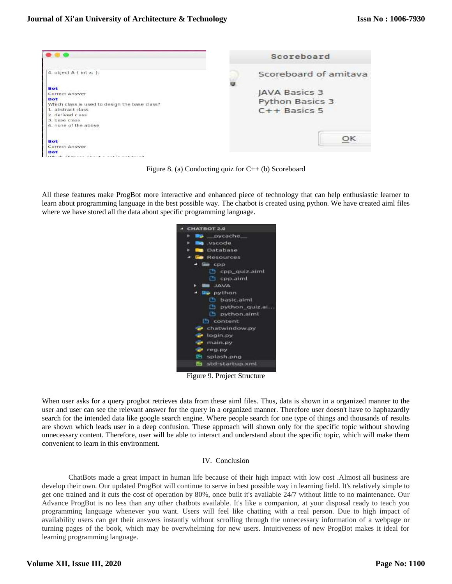

Figure 8. (a) Conducting quiz for  $C++$  (b) Scoreboard

All these features make ProgBot more interactive and enhanced piece of technology that can help enthusiastic learner to learn about programming language in the best possible way. The chatbot is created using python. We have created aiml files where we have stored all the data about specific programming language.



Figure 9. Project Structure

When user asks for a query progbot retrieves data from these aiml files. Thus, data is shown in a organized manner to the user and user can see the relevant answer for the query in a organized manner. Therefore user doesn't have to haphazardly search for the intended data like google search engine. Where people search for one type of things and thousands of results are shown which leads user in a deep confusion. These approach will shown only for the specific topic without showing unnecessary content. Therefore, user will be able to interact and understand about the specific topic, which will make them convenient to learn in this environment.

## IV. Conclusion

ChatBots made a great impact in human life because of their high impact with low cost .Almost all business are develop their own. Our updated ProgBot will continue to serve in best possible way in learning field. It's relatively simple to get one trained and it cuts the cost of operation by 80%, once built it's available 24/7 without little to no maintenance. Our Advance ProgBot is no less than any other chatbots available. It's like a companion, at your disposal ready to teach you programming language whenever you want. Users will feel like chatting with a real person. Due to high impact of availability users can get their answers instantly without scrolling through the unnecessary information of a webpage or turning pages of the book, which may be overwhelming for new users. Intuitiveness of new ProgBot makes it ideal for learning programming language.